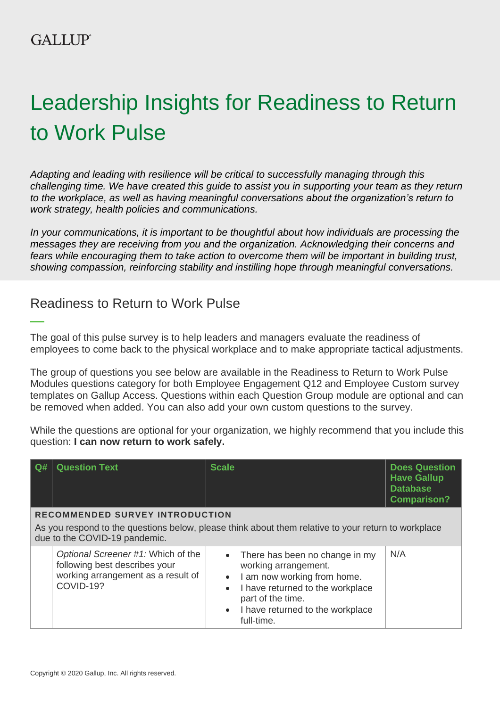# Leadership Insights for Readiness to Return to Work Pulse

*Adapting and leading with resilience will be critical to successfully managing through this challenging time. We have created this guide to assist you in supporting your team as they return to the workplace, as well as having meaningful conversations about the organization's return to work strategy, health policies and communications.*

*In your communications, it is important to be thoughtful about how individuals are processing the messages they are receiving from you and the organization. Acknowledging their concerns and fears while encouraging them to take action to overcome them will be important in building trust, showing compassion, reinforcing stability and instilling hope through meaningful conversations.*

# Readiness to Return to Work Pulse

The goal of this pulse survey is to help leaders and managers evaluate the readiness of employees to come back to the physical workplace and to make appropriate tactical adjustments.

The group of questions you see below are available in the Readiness to Return to Work Pulse Modules questions category for both Employee Engagement Q12 and Employee Custom survey templates on Gallup Access. Questions within each Question Group module are optional and can be removed when added. You can also add your own custom questions to the survey.

While the questions are optional for your organization, we highly recommend that you include this question: **I can now return to work safely.** 

| Q#                                                                                                                                                                             | <b>Question Text</b>                                                                                                   | <b>Scale</b>                                                                                                                                        | <b>Does Question</b><br><b>Have Gallup</b><br><b>Database</b><br><b>Comparison?</b> |  |
|--------------------------------------------------------------------------------------------------------------------------------------------------------------------------------|------------------------------------------------------------------------------------------------------------------------|-----------------------------------------------------------------------------------------------------------------------------------------------------|-------------------------------------------------------------------------------------|--|
| <b>RECOMMENDED SURVEY INTRODUCTION</b><br>As you respond to the questions below, please think about them relative to your return to workplace<br>due to the COVID-19 pandemic. |                                                                                                                        |                                                                                                                                                     |                                                                                     |  |
|                                                                                                                                                                                | Optional Screener #1: Which of the<br>following best describes your<br>working arrangement as a result of<br>COVID-19? | There has been no change in my<br>working arrangement.<br>I am now working from home.<br>$\bullet$<br>I have returned to the workplace<br>$\bullet$ | N/A                                                                                 |  |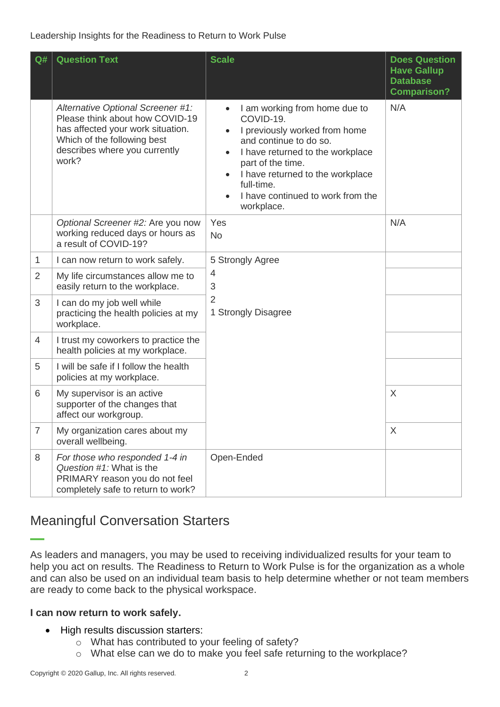#### Leadership Insights for the Readiness to Return to Work Pulse

| Q#             | <b>Question Text</b>                                                                                                                                                               | <b>Scale</b>                                                                                                                                                                                                                                                                                  | <b>Does Question</b><br><b>Have Gallup</b><br><b>Database</b><br><b>Comparison?</b> |
|----------------|------------------------------------------------------------------------------------------------------------------------------------------------------------------------------------|-----------------------------------------------------------------------------------------------------------------------------------------------------------------------------------------------------------------------------------------------------------------------------------------------|-------------------------------------------------------------------------------------|
|                | Alternative Optional Screener #1:<br>Please think about how COVID-19<br>has affected your work situation.<br>Which of the following best<br>describes where you currently<br>work? | I am working from home due to<br>COVID-19.<br>I previously worked from home<br>and continue to do so.<br>I have returned to the workplace<br>$\bullet$<br>part of the time.<br>I have returned to the workplace<br>$\bullet$<br>full-time.<br>I have continued to work from the<br>workplace. | N/A                                                                                 |
|                | Optional Screener #2: Are you now<br>working reduced days or hours as<br>a result of COVID-19?                                                                                     | Yes<br><b>No</b>                                                                                                                                                                                                                                                                              | N/A                                                                                 |
| $\mathbf{1}$   | I can now return to work safely.                                                                                                                                                   | 5 Strongly Agree<br>$\overline{4}$<br>3<br>$\overline{2}$<br>1 Strongly Disagree                                                                                                                                                                                                              |                                                                                     |
| $\overline{2}$ | My life circumstances allow me to<br>easily return to the workplace.                                                                                                               |                                                                                                                                                                                                                                                                                               |                                                                                     |
| 3              | I can do my job well while<br>practicing the health policies at my<br>workplace.                                                                                                   |                                                                                                                                                                                                                                                                                               |                                                                                     |
| 4              | I trust my coworkers to practice the<br>health policies at my workplace.                                                                                                           |                                                                                                                                                                                                                                                                                               |                                                                                     |
| 5              | I will be safe if I follow the health<br>policies at my workplace.                                                                                                                 |                                                                                                                                                                                                                                                                                               |                                                                                     |
| 6              | My supervisor is an active<br>supporter of the changes that<br>affect our workgroup.                                                                                               |                                                                                                                                                                                                                                                                                               | $\times$                                                                            |
| $\overline{7}$ | My organization cares about my<br>overall wellbeing.                                                                                                                               |                                                                                                                                                                                                                                                                                               | X                                                                                   |
| 8              | For those who responded 1-4 in<br>Question #1: What is the<br>PRIMARY reason you do not feel<br>completely safe to return to work?                                                 | Open-Ended                                                                                                                                                                                                                                                                                    |                                                                                     |

# Meaningful Conversation Starters

As leaders and managers, you may be used to receiving individualized results for your team to help you act on results. The Readiness to Return to Work Pulse is for the organization as a whole and can also be used on an individual team basis to help determine whether or not team members are ready to come back to the physical workspace.

#### **I can now return to work safely.**

- High results discussion starters:
	- o What has contributed to your feeling of safety?
	- o What else can we do to make you feel safe returning to the workplace?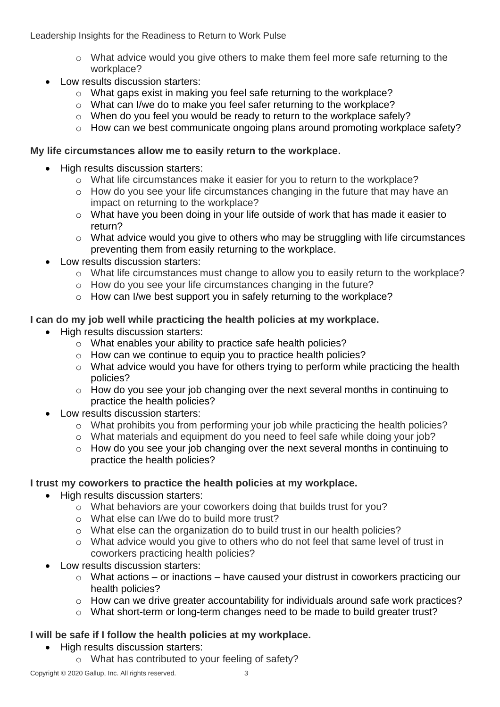Leadership Insights for the Readiness to Return to Work Pulse

- o What advice would you give others to make them feel more safe returning to the workplace?
- Low results discussion starters:
	- o What gaps exist in making you feel safe returning to the workplace?
	- o What can I/we do to make you feel safer returning to the workplace?
	- o When do you feel you would be ready to return to the workplace safely?
	- o How can we best communicate ongoing plans around promoting workplace safety?

#### **My life circumstances allow me to easily return to the workplace.**

- High results discussion starters:
	- o What life circumstances make it easier for you to return to the workplace?
	- o How do you see your life circumstances changing in the future that may have an impact on returning to the workplace?
	- o What have you been doing in your life outside of work that has made it easier to return?
	- o What advice would you give to others who may be struggling with life circumstances preventing them from easily returning to the workplace.
- Low results discussion starters:
	- o What life circumstances must change to allow you to easily return to the workplace?
	- o How do you see your life circumstances changing in the future?
	- o How can I/we best support you in safely returning to the workplace?

### **I can do my job well while practicing the health policies at my workplace.**

- High results discussion starters:
	- o What enables your ability to practice safe health policies?
	- o How can we continue to equip you to practice health policies?
	- o What advice would you have for others trying to perform while practicing the health policies?
	- o How do you see your job changing over the next several months in continuing to practice the health policies?
- Low results discussion starters:
	- o What prohibits you from performing your job while practicing the health policies?
	- o What materials and equipment do you need to feel safe while doing your job?
	- o How do you see your job changing over the next several months in continuing to practice the health policies?

#### **I trust my coworkers to practice the health policies at my workplace.**

- High results discussion starters:
	- o What behaviors are your coworkers doing that builds trust for you?
	- o What else can I/we do to build more trust?
	- o What else can the organization do to build trust in our health policies?
	- o What advice would you give to others who do not feel that same level of trust in coworkers practicing health policies?
- Low results discussion starters:
	- $\circ$  What actions or inactions have caused your distrust in coworkers practicing our health policies?
	- o How can we drive greater accountability for individuals around safe work practices?
	- o What short-term or long-term changes need to be made to build greater trust?

## **I will be safe if I follow the health policies at my workplace.**

- High results discussion starters:
	- o What has contributed to your feeling of safety?